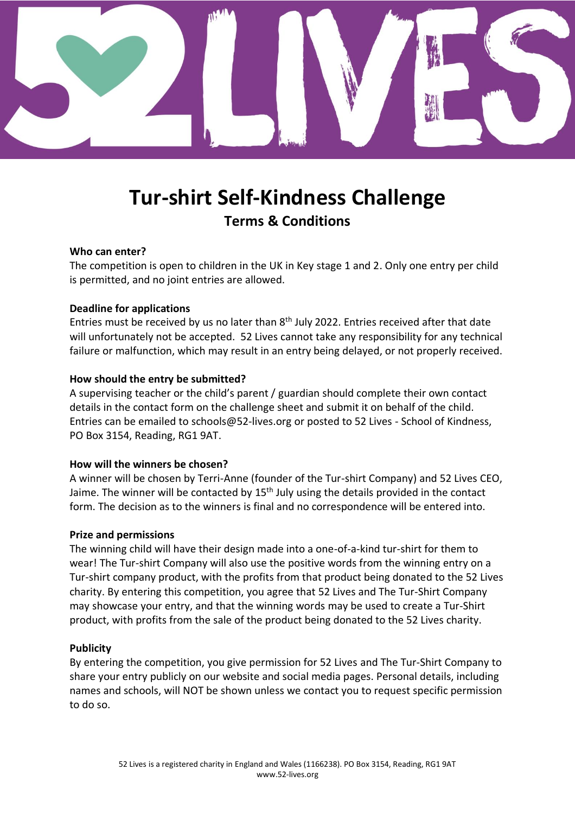

# **Tur-shirt Self-Kindness Challenge Terms & Conditions**

# **Who can enter?**

The competition is open to children in the UK in Key stage 1 and 2. Only one entry per child is permitted, and no joint entries are allowed.

# **Deadline for applications**

Entries must be received by us no later than  $8<sup>th</sup>$  July 2022. Entries received after that date will unfortunately not be accepted. 52 Lives cannot take any responsibility for any technical failure or malfunction, which may result in an entry being delayed, or not properly received.

# **How should the entry be submitted?**

A supervising teacher or the child's parent / guardian should complete their own contact details in the contact form on the challenge sheet and submit it on behalf of the child. Entries can be emailed to [schools@52-lives.org](mailto:schools@52-lives.org) or posted to 52 Lives - School of Kindness, PO Box 3154, Reading, RG1 9AT.

# **How will the winners be chosen?**

A winner will be chosen by Terri-Anne (founder of the Tur-shirt Company) and 52 Lives CEO, Jaime. The winner will be contacted by 15<sup>th</sup> July using the details provided in the contact form. The decision as to the winners is final and no correspondence will be entered into.

# **Prize and permissions**

The winning child will have their design made into a one-of-a-kind tur-shirt for them to wear! The Tur-shirt Company will also use the positive words from the winning entry on a Tur-shirt company product, with the profits from that product being donated to the 52 Lives charity. By entering this competition, you agree that 52 Lives and The Tur-Shirt Company may showcase your entry, and that the winning words may be used to create a Tur-Shirt product, with profits from the sale of the product being donated to the 52 Lives charity.

# **Publicity**

By entering the competition, you give permission for 52 Lives and The Tur-Shirt Company to share your entry publicly on our website and social media pages. Personal details, including names and schools, will NOT be shown unless we contact you to request specific permission to do so.